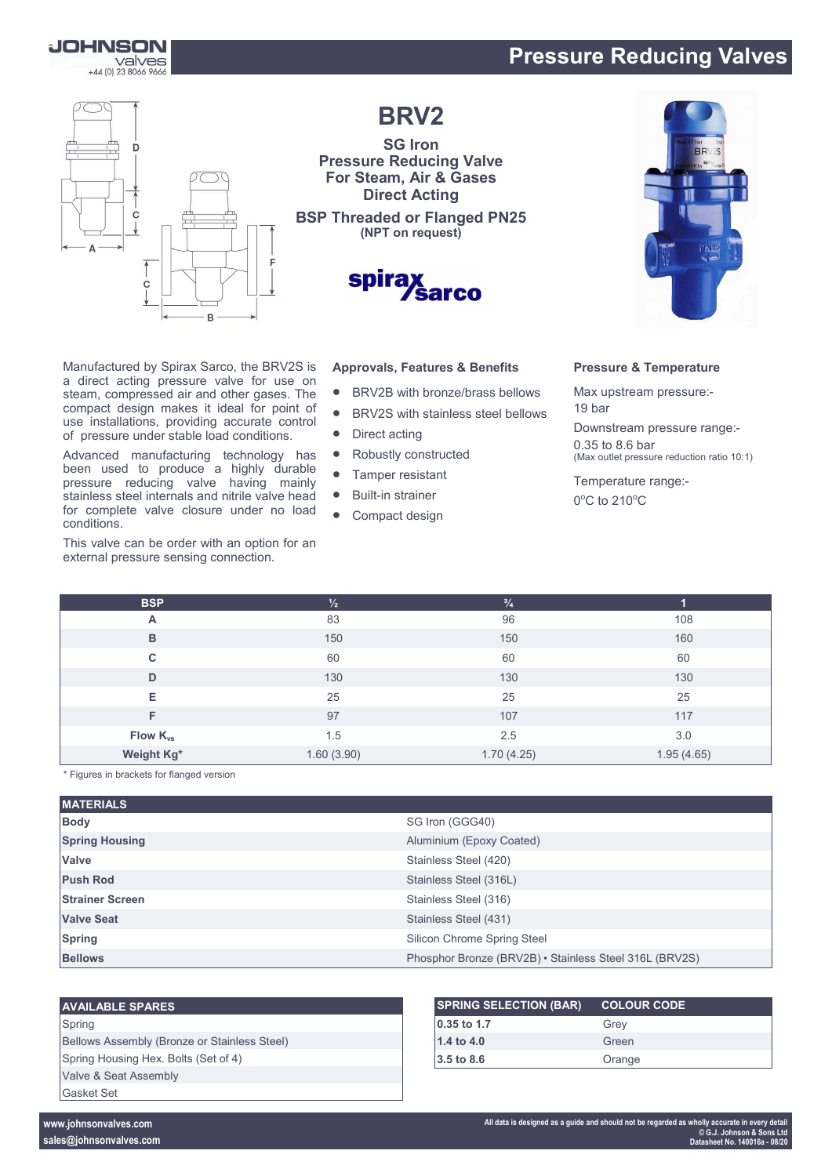

## **Pressure Reducing Valves**



Manufactured by Spirax Sarco, the BRV2S is a direct acting pressure valve for use on steam, compressed air and other gases. The compact design makes it ideal for point of use installations, providing accurate control of pressure under stable load conditions. Advanced manufacturing technology has been used to produce a highly durable pressure reducing valve having mainly stainless steel internals and nitrile valve head for complete valve closure under no load

This valve can be order with an option for an external pressure sensing connection.

**BRV2**

**SG Iron Pressure Reducing Valve For Steam, Air & Gases Direct Acting**

**BSP Threaded or Flanged PN25 (NPT on request)**



# **Approvals, Features & Benefits**

- BRV2B with bronze/brass bellows
- BRV2S with stainless steel bellows
- Direct acting
- Robustly constructed
- Tamper resistant
- Built-in strainer
- Compact design

#### **Pressure & Temperature**

Max upstream pressure:- 19 bar

Downstream pressure range:- 0.35 to 8.6 bar (Max outlet pressure reduction ratio 10:1)

Temperature range:-

 $0^{\circ}$ C to 210 $^{\circ}$ C

| <b>BSP</b>           | $\frac{1}{2}$ | $^{3}/_{4}$ | и          |
|----------------------|---------------|-------------|------------|
| A                    | 83            | 96          | 108        |
| B                    | 150           | 150         | 160        |
| C.                   | 60            | 60          | 60         |
| D                    | 130           | 130         | 130        |
| Е                    | 25            | 25          | 25         |
| F                    | 97            | 107         | 117        |
| Flow K <sub>vs</sub> | 1.5           | 2.5         | 3.0        |
| Weight Kg*           | 1.60(3.90)    | 1.70(4.25)  | 1.95(4.65) |

\* Figures in brackets for flanged version

conditions.

| <b>MATERIALS</b>       |                                                        |
|------------------------|--------------------------------------------------------|
| <b>Body</b>            | SG Iron (GGG40)                                        |
| <b>Spring Housing</b>  | Aluminium (Epoxy Coated)                               |
| Valve                  | Stainless Steel (420)                                  |
| <b>Push Rod</b>        | Stainless Steel (316L)                                 |
| <b>Strainer Screen</b> | Stainless Steel (316)                                  |
| <b>Valve Seat</b>      | Stainless Steel (431)                                  |
| <b>Spring</b>          | Silicon Chrome Spring Steel                            |
| <b>Bellows</b>         | Phosphor Bronze (BRV2B) • Stainless Steel 316L (BRV2S) |

#### **AVAILABLE SPARES**

Spring Bellows Assembly (Bronze or Stainless Steel) Spring Housing Hex. Bolts (Set of 4) Valve & Seat Assembly Gasket Set

| <b>SPRING SELECTION (BAR)</b> | <b>COLOUR CODE</b> |
|-------------------------------|--------------------|
| $ 0.35 $ to 1.7               | Grev               |
| 1.4 to 4.0                    | Green              |
| $3.5 \text{ to } 8.6$         | Orange             |